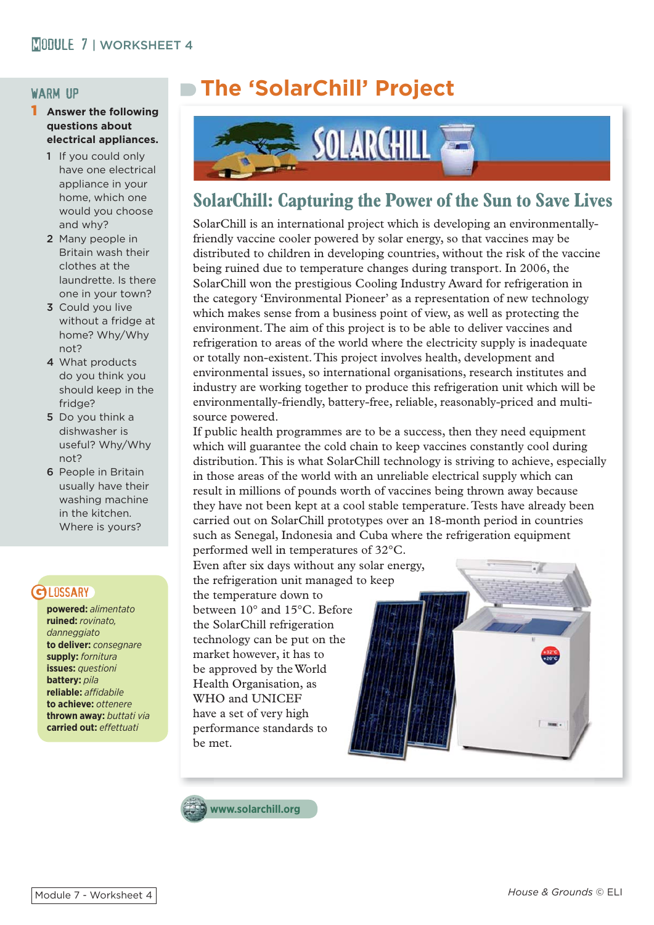### warm up

#### **Answer the following questions about electrical appliances.**

- 1 If you could only have one electrical appliance in your home, which one would you choose and why?
- 2 Many people in Britain wash their clothes at the laundrette. Is there one in your town?
- 3 Could you live without a fridge at home? Why/Why not?
- 4 What products do you think you should keep in the fridge?
- 5 Do you think a dishwasher is useful? Why/Why not?
- 6 People in Britain usually have their washing machine in the kitchen. Where is yours?

### **GLOSSARY**

**powered:** *alimentato* **ruined:** *rovinato, danneggiato* **to deliver:** *consegnare* **supply:** *fornitura* **issues:** *questioni* **battery:** *pila* **reliable:** *affi dabile* **to achieve:** *ottenere* **thrown away:** *buttati via* **carried out:** *effettuati* 

# **The 'SolarChill' Project**



## **SolarChill: Capturing the Power of the Sun to Save Lives**

SolarChill is an international project which is developing an environmentallyfriendly vaccine cooler powered by solar energy, so that vaccines may be distributed to children in developing countries, without the risk of the vaccine being ruined due to temperature changes during transport. In 2006, the SolarChill won the prestigious Cooling Industry Award for refrigeration in the category 'Environmental Pioneer' as a representation of new technology which makes sense from a business point of view, as well as protecting the environment. The aim of this project is to be able to deliver vaccines and refrigeration to areas of the world where the electricity supply is inadequate or totally non-existent. This project involves health, development and environmental issues, so international organisations, research institutes and industry are working together to produce this refrigeration unit which will be environmentally-friendly, battery-free, reliable, reasonably-priced and multisource powered.

If public health programmes are to be a success, then they need equipment which will guarantee the cold chain to keep vaccines constantly cool during distribution. This is what SolarChill technology is striving to achieve, especially in those areas of the world with an unreliable electrical supply which can result in millions of pounds worth of vaccines being thrown away because they have not been kept at a cool stable temperature. Tests have already been carried out on SolarChill prototypes over an 18-month period in countries such as Senegal, Indonesia and Cuba where the refrigeration equipment

performed well in temperatures of  $32^{\circ}$ C. Even after six days without any solar energy, the refrigeration unit managed to keep the temperature down to between  $10^{\circ}$  and  $15^{\circ}$ C. Before the SolarChill refrigeration technology can be put on the market however, it has to be approved by the World Health Organisation, as WHO and UNICEF have a set of very high performance standards to be met.